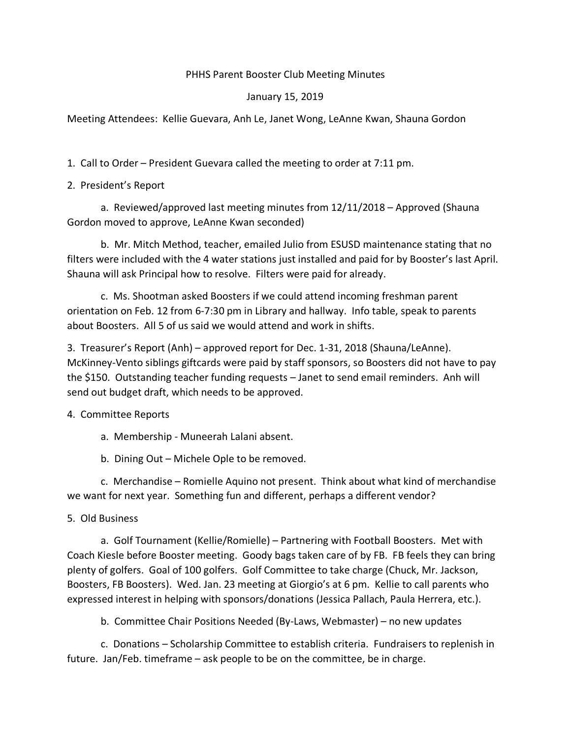## PHHS Parent Booster Club Meeting Minutes

## January 15, 2019

Meeting Attendees: Kellie Guevara, Anh Le, Janet Wong, LeAnne Kwan, Shauna Gordon

1. Call to Order – President Guevara called the meeting to order at 7:11 pm.

2. President's Report

a. Reviewed/approved last meeting minutes from 12/11/2018 – Approved (Shauna Gordon moved to approve, LeAnne Kwan seconded)

b. Mr. Mitch Method, teacher, emailed Julio from ESUSD maintenance stating that no filters were included with the 4 water stations just installed and paid for by Booster's last April. Shauna will ask Principal how to resolve. Filters were paid for already.

c. Ms. Shootman asked Boosters if we could attend incoming freshman parent orientation on Feb. 12 from 6-7:30 pm in Library and hallway. Info table, speak to parents about Boosters. All 5 of us said we would attend and work in shifts.

3. Treasurer's Report (Anh) – approved report for Dec. 1-31, 2018 (Shauna/LeAnne). McKinney-Vento siblings giftcards were paid by staff sponsors, so Boosters did not have to pay the \$150. Outstanding teacher funding requests – Janet to send email reminders. Anh will send out budget draft, which needs to be approved.

4. Committee Reports

- a. Membership Muneerah Lalani absent.
- b. Dining Out Michele Ople to be removed.

c. Merchandise – Romielle Aquino not present. Think about what kind of merchandise we want for next year. Something fun and different, perhaps a different vendor?

## 5. Old Business

a. Golf Tournament (Kellie/Romielle) – Partnering with Football Boosters. Met with Coach Kiesle before Booster meeting. Goody bags taken care of by FB. FB feels they can bring plenty of golfers. Goal of 100 golfers. Golf Committee to take charge (Chuck, Mr. Jackson, Boosters, FB Boosters). Wed. Jan. 23 meeting at Giorgio's at 6 pm. Kellie to call parents who expressed interest in helping with sponsors/donations (Jessica Pallach, Paula Herrera, etc.).

b. Committee Chair Positions Needed (By-Laws, Webmaster) – no new updates

c. Donations – Scholarship Committee to establish criteria. Fundraisers to replenish in future. Jan/Feb. timeframe – ask people to be on the committee, be in charge.